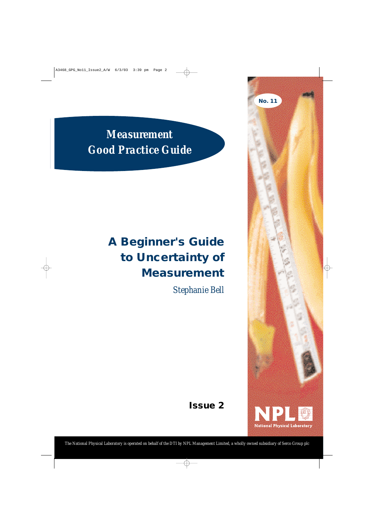*Measurement Good Practice Guide*

# **A Beginner's Guide to Uncertainty of Measurement**

*Stephanie Bell*



**National Physical Laboratory** 

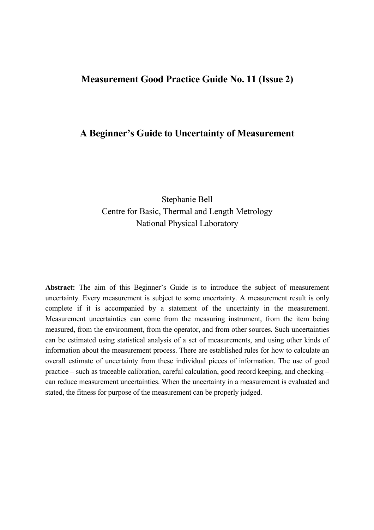### **Measurement Good Practice Guide No. 11 (Issue 2)**

### **A Beginner's Guide to Uncertainty of Measurement**

Stephanie Bell Centre for Basic, Thermal and Length Metrology National Physical Laboratory

**Abstract:** The aim of this Beginner's Guide is to introduce the subject of measurement uncertainty. Every measurement is subject to some uncertainty. A measurement result is only complete if it is accompanied by a statement of the uncertainty in the measurement. Measurement uncertainties can come from the measuring instrument, from the item being measured, from the environment, from the operator, and from other sources. Such uncertainties can be estimated using statistical analysis of a set of measurements, and using other kinds of information about the measurement process. There are established rules for how to calculate an overall estimate of uncertainty from these individual pieces of information. The use of good practice – such as traceable calibration, careful calculation, good record keeping, and checking – can reduce measurement uncertainties. When the uncertainty in a measurement is evaluated and stated, the fitness for purpose of the measurement can be properly judged.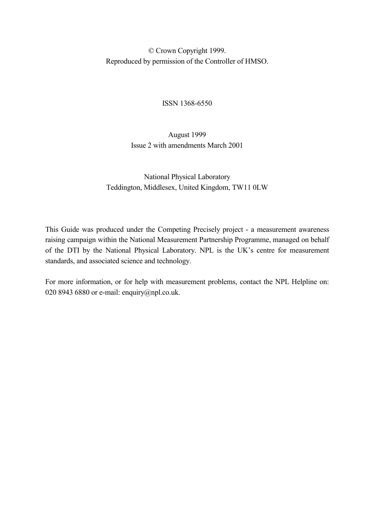© Crown Copyright 1999. Reproduced by permission of the Controller of HMSO.

ISSN 1368-6550

 August 1999 Issue 2 with amendments March 2001

### National Physical Laboratory Teddington, Middlesex, United Kingdom, TW11 0LW

This Guide was produced under the Competing Precisely project - a measurement awareness raising campaign within the National Measurement Partnership Programme, managed on behalf of the DTI by the National Physical Laboratory. NPL is the UK's centre for measurement standards, and associated science and technology.

For more information, or for help with measurement problems, contact the NPL Helpline on: 020 8943 6880 or e-mail: enquiry@npl.co.uk.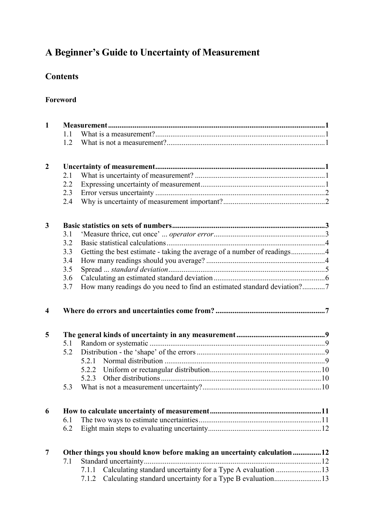## **A Beginner's Guide to Uncertainty of Measurement**

### **Contents**

### **Foreword**

| $\mathbf{1}$            |     |                                                                         |  |  |  |  |  |  |
|-------------------------|-----|-------------------------------------------------------------------------|--|--|--|--|--|--|
|                         | 11  |                                                                         |  |  |  |  |  |  |
|                         | 1.2 |                                                                         |  |  |  |  |  |  |
| $\boldsymbol{2}$        |     |                                                                         |  |  |  |  |  |  |
|                         | 2.1 |                                                                         |  |  |  |  |  |  |
|                         | 2.2 |                                                                         |  |  |  |  |  |  |
|                         | 2.3 |                                                                         |  |  |  |  |  |  |
|                         | 2.4 |                                                                         |  |  |  |  |  |  |
| 3                       |     |                                                                         |  |  |  |  |  |  |
|                         | 3.1 |                                                                         |  |  |  |  |  |  |
|                         | 3.2 |                                                                         |  |  |  |  |  |  |
|                         | 3.3 | Getting the best estimate - taking the average of a number of readings4 |  |  |  |  |  |  |
|                         | 3.4 |                                                                         |  |  |  |  |  |  |
|                         | 3.5 |                                                                         |  |  |  |  |  |  |
|                         | 3.6 |                                                                         |  |  |  |  |  |  |
|                         | 3.7 | How many readings do you need to find an estimated standard deviation?7 |  |  |  |  |  |  |
| $\overline{\mathbf{4}}$ |     |                                                                         |  |  |  |  |  |  |
| 5                       |     |                                                                         |  |  |  |  |  |  |
|                         | 5.1 |                                                                         |  |  |  |  |  |  |
|                         | 5.2 |                                                                         |  |  |  |  |  |  |
|                         |     |                                                                         |  |  |  |  |  |  |
|                         |     |                                                                         |  |  |  |  |  |  |
|                         |     |                                                                         |  |  |  |  |  |  |
|                         | 5.3 |                                                                         |  |  |  |  |  |  |
| 6                       |     |                                                                         |  |  |  |  |  |  |
|                         | 6.1 |                                                                         |  |  |  |  |  |  |
|                         | 6.2 |                                                                         |  |  |  |  |  |  |
| $\overline{7}$          |     | Other things you should know before making an uncertainty calculation12 |  |  |  |  |  |  |
|                         | 7.1 |                                                                         |  |  |  |  |  |  |
|                         |     |                                                                         |  |  |  |  |  |  |
|                         |     | Calculating standard uncertainty for a Type A evaluation 13<br>7.1.1    |  |  |  |  |  |  |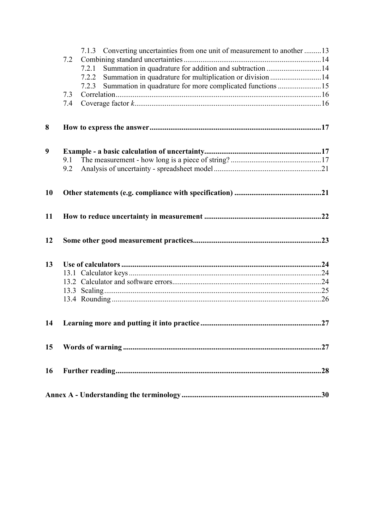|           | 7.2 | 7.1.3 Converting uncertainties from one unit of measurement to another 13 |  |
|-----------|-----|---------------------------------------------------------------------------|--|
|           |     | Summation in quadrature for addition and subtraction 14<br>7.2.1          |  |
|           |     | Summation in quadrature for multiplication or division 14<br>7.2.2        |  |
|           |     | Summation in quadrature for more complicated functions 15<br>7.2.3        |  |
|           | 7.3 |                                                                           |  |
|           | 7.4 |                                                                           |  |
|           |     |                                                                           |  |
| 8         |     |                                                                           |  |
| 9         |     |                                                                           |  |
|           | 9.1 |                                                                           |  |
|           | 9.2 |                                                                           |  |
| <b>10</b> |     |                                                                           |  |
| 11        |     |                                                                           |  |
| 12        |     |                                                                           |  |
| 13        |     |                                                                           |  |
|           |     |                                                                           |  |
|           |     |                                                                           |  |
|           |     |                                                                           |  |
|           |     |                                                                           |  |
| 14        |     |                                                                           |  |
| 15        |     |                                                                           |  |
| 16        |     |                                                                           |  |
|           |     |                                                                           |  |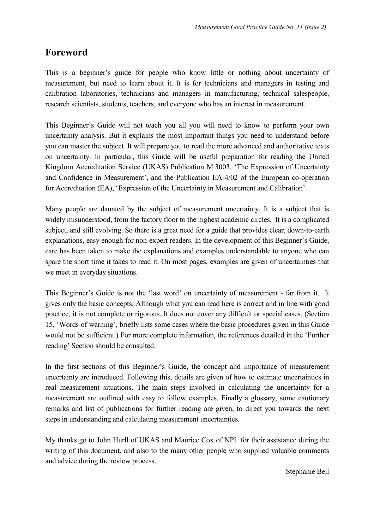### **Foreword**

This is a beginner's guide for people who know little or nothing about uncertainty of measurement, but need to learn about it. It is for technicians and managers in testing and calibration laboratories, technicians and managers in manufacturing, technical salespeople, research scientists, students, teachers, and everyone who has an interest in measurement.

This Beginner's Guide will not teach you all you will need to know to perform your own uncertainty analysis. But it explains the most important things you need to understand before you can master the subject. It will prepare you to read the more advanced and authoritative texts on uncertainty. In particular, this Guide will be useful preparation for reading the United Kingdom Accreditation Service (UKAS) Publication M 3003, 'The Expression of Uncertainty and Confidence in Measurement', and the Publication EA-4/02 of the European co-operation for Accreditation (EA), 'Expression of the Uncertainty in Measurement and Calibration'.

Many people are daunted by the subject of measurement uncertainty. It is a subject that is widely misunderstood, from the factory floor to the highest academic circles. It is a complicated subject, and still evolving. So there is a great need for a guide that provides clear, down-to-earth explanations, easy enough for non-expert readers. In the development of this Beginner's Guide, care has been taken to make the explanations and examples understandable to anyone who can spare the short time it takes to read it. On most pages, examples are given of uncertainties that we meet in everyday situations.

This Beginner's Guide is not the 'last word' on uncertainty of measurement - far from it. It gives only the basic concepts. Although what you can read here is correct and in line with good practice, it is not complete or rigorous. It does not cover any difficult or special cases. (Section 15, 'Words of warning', briefly lists some cases where the basic procedures given in this Guide would not be sufficient.) For more complete information, the references detailed in the 'Further reading' Section should be consulted.

In the first sections of this Beginner's Guide, the concept and importance of measurement uncertainty are introduced. Following this, details are given of how to estimate uncertainties in real measurement situations. The main steps involved in calculating the uncertainty for a measurement are outlined with easy to follow examples. Finally a glossary, some cautionary remarks and list of publications for further reading are given, to direct you towards the next steps in understanding and calculating measurement uncertainties.

My thanks go to John Hurll of UKAS and Maurice Cox of NPL for their assistance during the writing of this document, and also to the many other people who supplied valuable comments and advice during the review process.

Stephanie Bell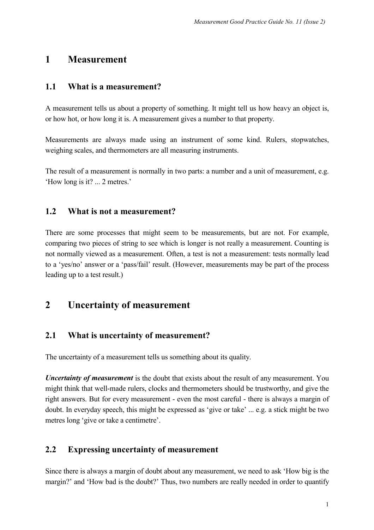### **1 Measurement**

### **1.1 What is a measurement?**

A measurement tells us about a property of something. It might tell us how heavy an object is, or how hot, or how long it is. A measurement gives a number to that property.

Measurements are always made using an instrument of some kind. Rulers, stopwatches, weighing scales, and thermometers are all measuring instruments.

The result of a measurement is normally in two parts: a number and a unit of measurement, e.g. 'How long is it? ... 2 metres.'

### **1.2 What is not a measurement?**

There are some processes that might seem to be measurements, but are not. For example, comparing two pieces of string to see which is longer is not really a measurement. Counting is not normally viewed as a measurement. Often, a test is not a measurement: tests normally lead to a 'yes/no' answer or a 'pass/fail' result. (However, measurements may be part of the process leading up to a test result.)

### **2 Uncertainty of measurement**

### **2.1 What is uncertainty of measurement?**

The uncertainty of a measurement tells us something about its quality.

*Uncertainty of measurement* is the doubt that exists about the result of any measurement. You might think that well-made rulers, clocks and thermometers should be trustworthy, and give the right answers. But for every measurement - even the most careful - there is always a margin of doubt. In everyday speech, this might be expressed as 'give or take' ... e.g. a stick might be two metres long 'give or take a centimetre'.

### **2.2 Expressing uncertainty of measurement**

Since there is always a margin of doubt about any measurement, we need to ask 'How big is the margin?' and 'How bad is the doubt?' Thus, two numbers are really needed in order to quantify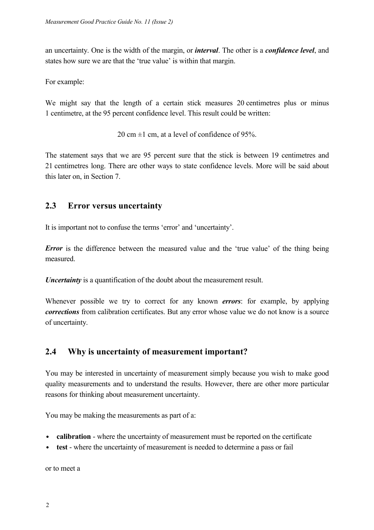an uncertainty. One is the width of the margin, or *interval*. The other is a *confidence level*, and states how sure we are that the 'true value' is within that margin.

For example:

We might say that the length of a certain stick measures 20 centimetres plus or minus 1 centimetre, at the 95 percent confidence level. This result could be written:

20 cm  $\pm$ 1 cm, at a level of confidence of 95%.

The statement says that we are 95 percent sure that the stick is between 19 centimetres and 21 centimetres long. There are other ways to state confidence levels. More will be said about this later on, in Section 7.

### **2.3 Error versus uncertainty**

It is important not to confuse the terms 'error' and 'uncertainty'.

*Error* is the difference between the measured value and the 'true value' of the thing being measured.

*Uncertainty* is a quantification of the doubt about the measurement result.

Whenever possible we try to correct for any known *errors*: for example, by applying *corrections* from calibration certificates. But any error whose value we do not know is a source of uncertainty.

### **2.4 Why is uncertainty of measurement important?**

You may be interested in uncertainty of measurement simply because you wish to make good quality measurements and to understand the results. However, there are other more particular reasons for thinking about measurement uncertainty.

You may be making the measurements as part of a:

- **calibration** where the uncertainty of measurement must be reported on the certificate
- **test** where the uncertainty of measurement is needed to determine a pass or fail

or to meet a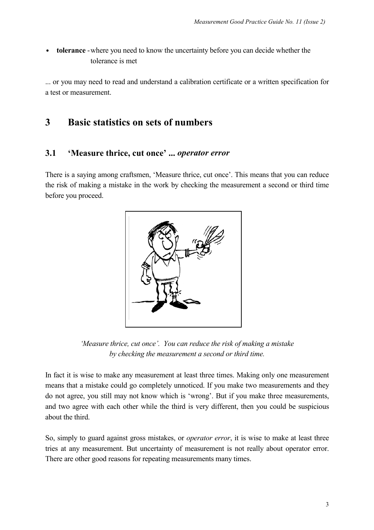• **tolerance** - where you need to know the uncertainty before you can decide whether the tolerance is met

... or you may need to read and understand a calibration certificate or a written specification for a test or measurement.

### **3 Basic statistics on sets of numbers**

### **3.1 'Measure thrice, cut once' ...** *operator error*

There is a saying among craftsmen, 'Measure thrice, cut once'. This means that you can reduce the risk of making a mistake in the work by checking the measurement a second or third time before you proceed.



*'Measure thrice, cut once'. You can reduce the risk of making a mistake by checking the measurement a second or third time.* 

In fact it is wise to make any measurement at least three times. Making only one measurement means that a mistake could go completely unnoticed. If you make two measurements and they do not agree, you still may not know which is 'wrong'. But if you make three measurements, and two agree with each other while the third is very different, then you could be suspicious about the third.

So, simply to guard against gross mistakes, or *operator error*, it is wise to make at least three tries at any measurement. But uncertainty of measurement is not really about operator error. There are other good reasons for repeating measurements many times.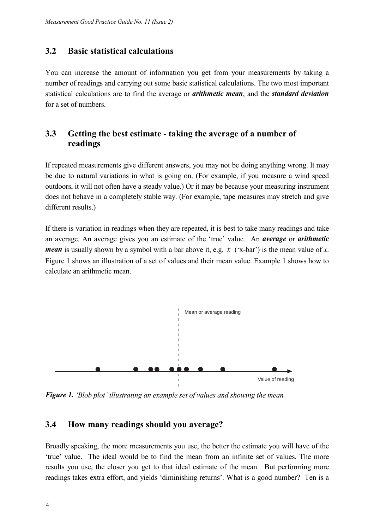### **3.2 Basic statistical calculations**

You can increase the amount of information you get from your measurements by taking a number of readings and carrying out some basic statistical calculations. The two most important statistical calculations are to find the average or *arithmetic mean*, and the *standard deviation* for a set of numbers.

### **3.3 Getting the best estimate - taking the average of a number of readings**

If repeated measurements give different answers, you may not be doing anything wrong. It may be due to natural variations in what is going on. (For example, if you measure a wind speed outdoors, it will not often have a steady value.) Or it may be because your measuring instrument does not behave in a completely stable way. (For example, tape measures may stretch and give different results.)

If there is variation in readings when they are repeated, it is best to take many readings and take an average. An average gives you an estimate of the 'true' value. An *average* or *arithmetic mean* is usually shown by a symbol with a bar above it, e.g.  $\bar{x}$  ('x-bar') is the mean value of *x*. Figure 1 shows an illustration of a set of values and their mean value. Example 1 shows how to calculate an arithmetic mean.



*Figure 1. 'Blob plot' illustrating an example set of values and showing the mean* 

### **3.4 How many readings should you average?**

Broadly speaking, the more measurements you use, the better the estimate you will have of the 'true' value. The ideal would be to find the mean from an infinite set of values. The more results you use, the closer you get to that ideal estimate of the mean. But performing more readings takes extra effort, and yields 'diminishing returns'. What is a good number? Ten is a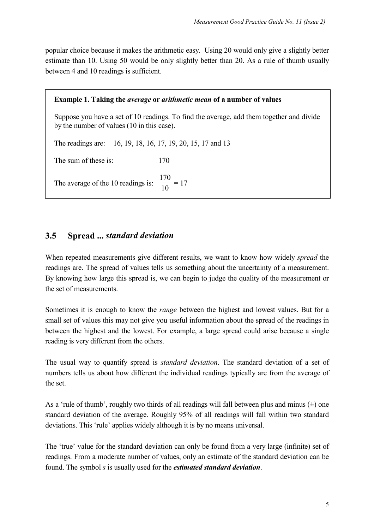popular choice because it makes the arithmetic easy. Using 20 would only give a slightly better estimate than 10. Using 50 would be only slightly better than 20. As a rule of thumb usually between 4 and 10 readings is sufficient.

#### **Example 1. Taking the** *average* **or** *arithmetic mean* **of a number of values**

Suppose you have a set of 10 readings. To find the average, add them together and divide by the number of values (10 in this case).

The readings are: 16, 19, 18, 16, 17, 19, 20, 15, 17 and 13

The sum of these is: 170

The average of the 10 readings is: 170  $= 17$ 

### **3.5 Spread ...** *standard deviation*

When repeated measurements give different results, we want to know how widely *spread* the readings are. The spread of values tells us something about the uncertainty of a measurement. By knowing how large this spread is, we can begin to judge the quality of the measurement or the set of measurements.

Sometimes it is enough to know the *range* between the highest and lowest values. But for a small set of values this may not give you useful information about the spread of the readings in between the highest and the lowest. For example, a large spread could arise because a single reading is very different from the others.

The usual way to quantify spread is *standard deviation*. The standard deviation of a set of numbers tells us about how different the individual readings typically are from the average of the set.

As a 'rule of thumb', roughly two thirds of all readings will fall between plus and minus  $(\pm)$  one standard deviation of the average. Roughly 95% of all readings will fall within two standard deviations. This 'rule' applies widely although it is by no means universal.

The 'true' value for the standard deviation can only be found from a very large (infinite) set of readings. From a moderate number of values, only an estimate of the standard deviation can be found. The symbol *s* is usually used for the *estimated standard deviation*.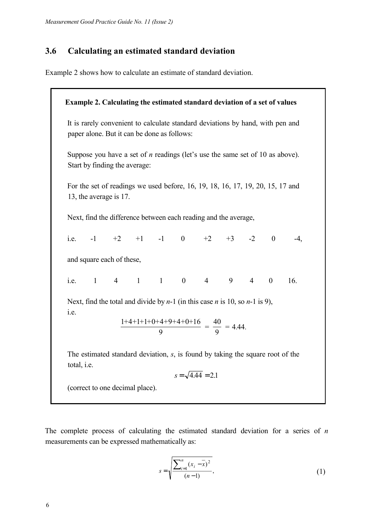### **3.6 Calculating an estimated standard deviation**

Example 2 shows how to calculate an estimate of standard deviation.

| Example 2. Calculating the estimated standard deviation of a set of values                                                                                |                                                                                                                               |  |  |  |  |  |  |  |       |
|-----------------------------------------------------------------------------------------------------------------------------------------------------------|-------------------------------------------------------------------------------------------------------------------------------|--|--|--|--|--|--|--|-------|
|                                                                                                                                                           | It is rarely convenient to calculate standard deviations by hand, with pen and<br>paper alone. But it can be done as follows: |  |  |  |  |  |  |  |       |
|                                                                                                                                                           | Suppose you have a set of <i>n</i> readings (let's use the same set of 10 as above).<br>Start by finding the average:         |  |  |  |  |  |  |  |       |
|                                                                                                                                                           | For the set of readings we used before, 16, 19, 18, 16, 17, 19, 20, 15, 17 and<br>13, the average is 17.                      |  |  |  |  |  |  |  |       |
|                                                                                                                                                           | Next, find the difference between each reading and the average,                                                               |  |  |  |  |  |  |  |       |
| i.e. $-1$ $+2$ $+1$ $-1$ 0 $+2$ $+3$ $-2$ 0                                                                                                               |                                                                                                                               |  |  |  |  |  |  |  | $-4,$ |
| and square each of these,                                                                                                                                 |                                                                                                                               |  |  |  |  |  |  |  |       |
| i.e. 1 4 1 1 0 4 9 4 0                                                                                                                                    |                                                                                                                               |  |  |  |  |  |  |  | 16.   |
| Next, find the total and divide by $n-1$ (in this case <i>n</i> is 10, so $n-1$ is 9),<br>i.e.<br>$\frac{1+4+1+1+0+4+9+4+0+16}{9} = \frac{40}{9} = 4.44.$ |                                                                                                                               |  |  |  |  |  |  |  |       |
| The estimated standard deviation, $s$ , is found by taking the square root of the<br>total, i.e.<br>$s = \sqrt{4.44} = 21$                                |                                                                                                                               |  |  |  |  |  |  |  |       |
|                                                                                                                                                           | (correct to one decimal place).                                                                                               |  |  |  |  |  |  |  |       |

The complete process of calculating the estimated standard deviation for a series of *n*  measurements can be expressed mathematically as:

$$
s = \sqrt{\frac{\sum_{i=1}^{n} (x_i - \overline{x})^2}{(n-1)}},
$$
\n(1)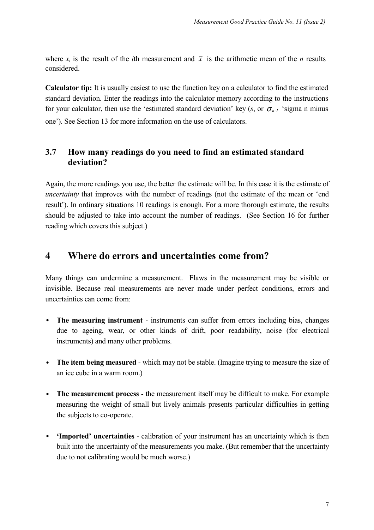where  $x_i$  is the result of the *i*th measurement and  $\bar{x}$  is the arithmetic mean of the *n* results considered.

**Calculator tip:** It is usually easiest to use the function key on a calculator to find the estimated standard deviation. Enter the readings into the calculator memory according to the instructions for your calculator, then use the 'estimated standard deviation' key (*s*, or  $\sigma_{n-1}$  'sigma n minus one'). See Section 13 for more information on the use of calculators.

### **3.7 How many readings do you need to find an estimated standard deviation?**

Again, the more readings you use, the better the estimate will be. In this case it is the estimate of *uncertainty* that improves with the number of readings (not the estimate of the mean or 'end result'). In ordinary situations 10 readings is enough. For a more thorough estimate, the results should be adjusted to take into account the number of readings. (See Section 16 for further reading which covers this subject.)

### **4 Where do errors and uncertainties come from?**

Many things can undermine a measurement. Flaws in the measurement may be visible or invisible. Because real measurements are never made under perfect conditions, errors and uncertainties can come from:

- **The measuring instrument** instruments can suffer from errors including bias, changes due to ageing, wear, or other kinds of drift, poor readability, noise (for electrical instruments) and many other problems.
- **The item being measured** which may not be stable. (Imagine trying to measure the size of an ice cube in a warm room.)
- **The measurement process** the measurement itself may be difficult to make. For example measuring the weight of small but lively animals presents particular difficulties in getting the subjects to co-operate.
- **'Imported' uncertainties** calibration of your instrument has an uncertainty which is then built into the uncertainty of the measurements you make. (But remember that the uncertainty due to not calibrating would be much worse.)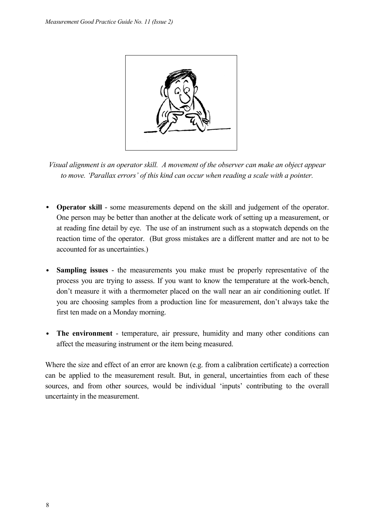

*Visual alignment is an operator skill. A movement of the observer can make an object appear to move. 'Parallax errors' of this kind can occur when reading a scale with a pointer.* 

- **Operator skill** some measurements depend on the skill and judgement of the operator. One person may be better than another at the delicate work of setting up a measurement, or at reading fine detail by eye. The use of an instrument such as a stopwatch depends on the reaction time of the operator. (But gross mistakes are a different matter and are not to be accounted for as uncertainties.)
- **Sampling issues** the measurements you make must be properly representative of the process you are trying to assess. If you want to know the temperature at the work-bench, don't measure it with a thermometer placed on the wall near an air conditioning outlet. If you are choosing samples from a production line for measurement, don't always take the first ten made on a Monday morning.
- The environment temperature, air pressure, humidity and many other conditions can affect the measuring instrument or the item being measured.

Where the size and effect of an error are known (e.g. from a calibration certificate) a correction can be applied to the measurement result. But, in general, uncertainties from each of these sources, and from other sources, would be individual 'inputs' contributing to the overall uncertainty in the measurement.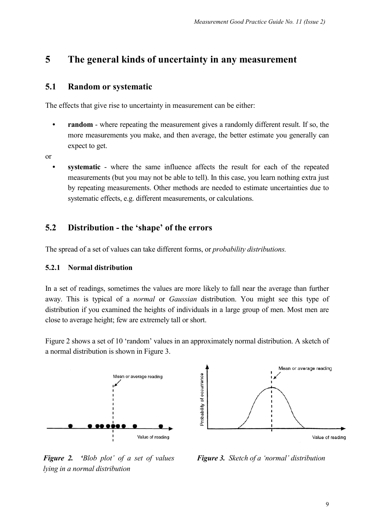### **5 The general kinds of uncertainty in any measurement**

### **5.1 Random or systematic**

The effects that give rise to uncertainty in measurement can be either:

- **random** where repeating the measurement gives a randomly different result. If so, the more measurements you make, and then average, the better estimate you generally can expect to get.
- or
	- **systematic** where the same influence affects the result for each of the repeated measurements (but you may not be able to tell). In this case, you learn nothing extra just by repeating measurements. Other methods are needed to estimate uncertainties due to systematic effects, e.g. different measurements, or calculations.

### **5.2 Distribution - the 'shape' of the errors**

The spread of a set of values can take different forms, or *probability distributions.*

#### **5.2.1 Normal distribution**

In a set of readings, sometimes the values are more likely to fall near the average than further away. This is typical of a *normal* or *Gaussian* distribution. You might see this type of distribution if you examined the heights of individuals in a large group of men. Most men are close to average height; few are extremely tall or short.

Figure 2 shows a set of 10 'random' values in an approximately normal distribution. A sketch of a normal distribution is shown in Figure 3.



Mean or average reading Probability of occurrence Value of reading

*Figure 2. 'Blob plot' of a set of values lying in a normal distribution*

*Figure 3.**Sketch of a 'normal' distribution*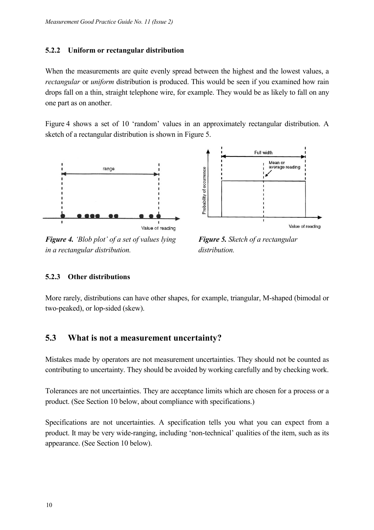#### **5.2.2 Uniform or rectangular distribution**

When the measurements are quite evenly spread between the highest and the lowest values, a *rectangular* or *uniform* distribution is produced. This would be seen if you examined how rain drops fall on a thin, straight telephone wire, for example. They would be as likely to fall on any one part as on another.

Figure 4 shows a set of 10 'random' values in an approximately rectangular distribution. A sketch of a rectangular distribution is shown in Figure 5.



*Figure 4. 'Blob plot' of a set of values lying in a rectangular distribution.* 

*Figure 5. Sketch of a rectangular distribution.* 

#### **5.2.3 Other distributions**

More rarely, distributions can have other shapes, for example, triangular, M-shaped (bimodal or two-peaked), or lop-sided (skew).

#### **5.3 What is not a measurement uncertainty?**

Mistakes made by operators are not measurement uncertainties. They should not be counted as contributing to uncertainty. They should be avoided by working carefully and by checking work.

Tolerances are not uncertainties. They are acceptance limits which are chosen for a process or a product. (See Section 10 below, about compliance with specifications.)

Specifications are not uncertainties. A specification tells you what you can expect from a product. It may be very wide-ranging, including 'non-technical' qualities of the item, such as its appearance. (See Section 10 below).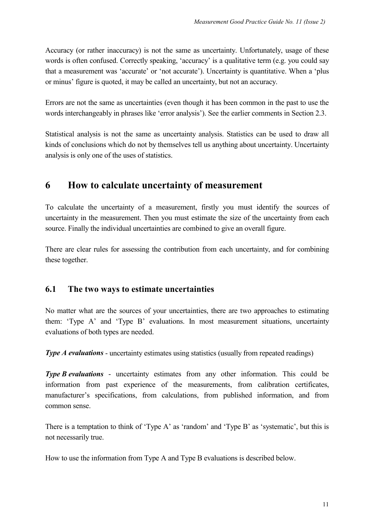Accuracy (or rather inaccuracy) is not the same as uncertainty. Unfortunately, usage of these words is often confused. Correctly speaking, 'accuracy' is a qualitative term (e.g. you could say that a measurement was 'accurate' or 'not accurate'). Uncertainty is quantitative. When a 'plus or minus' figure is quoted, it may be called an uncertainty, but not an accuracy.

Errors are not the same as uncertainties (even though it has been common in the past to use the words interchangeably in phrases like 'error analysis'). See the earlier comments in Section 2.3.

Statistical analysis is not the same as uncertainty analysis. Statistics can be used to draw all kinds of conclusions which do not by themselves tell us anything about uncertainty. Uncertainty analysis is only one of the uses of statistics.

### **6 How to calculate uncertainty of measurement**

To calculate the uncertainty of a measurement, firstly you must identify the sources of uncertainty in the measurement. Then you must estimate the size of the uncertainty from each source. Finally the individual uncertainties are combined to give an overall figure.

There are clear rules for assessing the contribution from each uncertainty, and for combining these together.

### **6.1 The two ways to estimate uncertainties**

No matter what are the sources of your uncertainties, there are two approaches to estimating them: 'Type A' and 'Type B' evaluations. In most measurement situations, uncertainty evaluations of both types are needed.

*Type A evaluations* - uncertainty estimates using statistics (usually from repeated readings)

*Type B evaluations* - uncertainty estimates from any other information. This could be information from past experience of the measurements, from calibration certificates, manufacturer's specifications, from calculations, from published information, and from common sense.

There is a temptation to think of 'Type A' as 'random' and 'Type B' as 'systematic', but this is not necessarily true.

How to use the information from Type A and Type B evaluations is described below.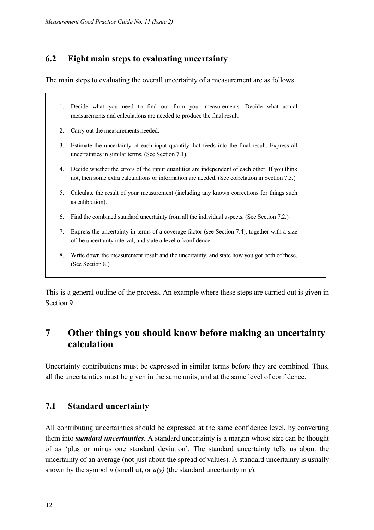### **6.2 Eight main steps to evaluating uncertainty**

The main steps to evaluating the overall uncertainty of a measurement are as follows.

- 1. Decide what you need to find out from your measurements. Decide what actual measurements and calculations are needed to produce the final result.
- 2. Carry out the measurements needed.
- 3. Estimate the uncertainty of each input quantity that feeds into the final result. Express all uncertainties in similar terms. (See Section 7.1).
- 4. Decide whether the errors of the input quantities are independent of each other. If you think not, then some extra calculations or information are needed. (See correlation in Section 7.3.)
- 5. Calculate the result of your measurement (including any known corrections for things such as calibration).
- 6. Find the combined standard uncertainty from all the individual aspects. (See Section 7.2.)
- 7. Express the uncertainty in terms of a coverage factor (see Section 7.4), together with a size of the uncertainty interval, and state a level of confidence.
- 8. Write down the measurement result and the uncertainty, and state how you got both of these. (See Section 8.)

This is a general outline of the process. An example where these steps are carried out is given in Section 9.

### **7 Other things you should know before making an uncertainty calculation**

Uncertainty contributions must be expressed in similar terms before they are combined. Thus, all the uncertainties must be given in the same units, and at the same level of confidence.

### **7.1 Standard uncertainty**

All contributing uncertainties should be expressed at the same confidence level, by converting them into *standard uncertainties*. A standard uncertainty is a margin whose size can be thought of as 'plus or minus one standard deviation'. The standard uncertainty tells us about the uncertainty of an average (not just about the spread of values). A standard uncertainty is usually shown by the symbol  $u$  (small u), or  $u(y)$  (the standard uncertainty in  $y$ ).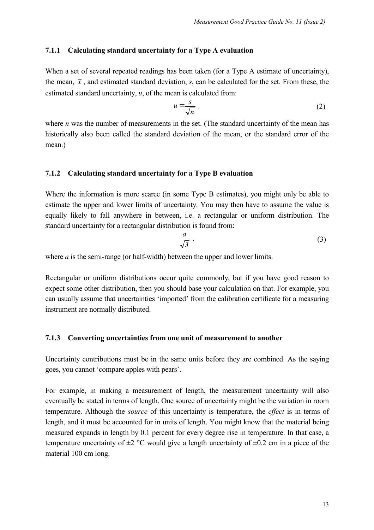#### **7.1.1 Calculating standard uncertainty for a Type A evaluation**

When a set of several repeated readings has been taken (for a Type A estimate of uncertainty), the mean,  $\bar{x}$ , and estimated standard deviation, *s*, can be calculated for the set. From these, the estimated standard uncertainty, *u*, of the mean is calculated from:

$$
u = \frac{s}{\sqrt{n}} \tag{2}
$$

where *n* was the number of measurements in the set. (The standard uncertainty of the mean has historically also been called the standard deviation of the mean, or the standard error of the mean.)

#### **7.1.2 Calculating standard uncertainty for a Type B evaluation**

Where the information is more scarce (in some Type B estimates), you might only be able to estimate the upper and lower limits of uncertainty. You may then have to assume the value is equally likely to fall anywhere in between, i.e. a rectangular or uniform distribution. The standard uncertainty for a rectangular distribution is found from:

$$
\frac{a}{\sqrt{3}}\tag{3}
$$

where  $a$  is the semi-range (or half-width) between the upper and lower limits.

Rectangular or uniform distributions occur quite commonly, but if you have good reason to expect some other distribution, then you should base your calculation on that. For example, you can usually assume that uncertainties 'imported' from the calibration certificate for a measuring instrument are normally distributed.

#### **7.1.3 Converting uncertainties from one unit of measurement to another**

Uncertainty contributions must be in the same units before they are combined. As the saying goes, you cannot 'compare apples with pears'.

For example, in making a measurement of length, the measurement uncertainty will also eventually be stated in terms of length. One source of uncertainty might be the variation in room temperature. Although the *source* of this uncertainty is temperature, the *effect* is in terms of length, and it must be accounted for in units of length. You might know that the material being measured expands in length by 0.1 percent for every degree rise in temperature. In that case, a temperature uncertainty of  $\pm 2$  °C would give a length uncertainty of  $\pm 0.2$  cm in a piece of the material 100 cm long.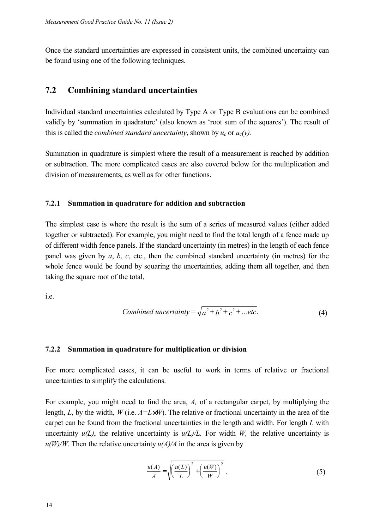Once the standard uncertainties are expressed in consistent units, the combined uncertainty can be found using one of the following techniques.

### **7.2 Combining standard uncertainties**

Individual standard uncertainties calculated by Type A or Type B evaluations can be combined validly by 'summation in quadrature' (also known as 'root sum of the squares'). The result of this is called the *combined standard uncertainty*, shown by  $u_c$  or  $u_c(y)$ .

Summation in quadrature is simplest where the result of a measurement is reached by addition or subtraction. The more complicated cases are also covered below for the multiplication and division of measurements, as well as for other functions.

#### **7.2.1 Summation in quadrature for addition and subtraction**

The simplest case is where the result is the sum of a series of measured values (either added together or subtracted). For example, you might need to find the total length of a fence made up of different width fence panels. If the standard uncertainty (in metres) in the length of each fence panel was given by *a*, *b*, *c*, etc., then the combined standard uncertainty (in metres) for the whole fence would be found by squaring the uncertainties, adding them all together, and then taking the square root of the total,

i.e.

$$
Combined \ uncertainty = \sqrt{a^2 + b^2 + c^2 + \dots etc}.
$$
\n(4)

#### **7.2.2 Summation in quadrature for multiplication or division**

For more complicated cases, it can be useful to work in terms of relative or fractional uncertainties to simplify the calculations.

For example, you might need to find the area, *A,* of a rectangular carpet, by multiplying the length, *L*, by the width, *W* (i.e.  $A = L \times W$ ). The relative or fractional uncertainty in the area of the carpet can be found from the fractional uncertainties in the length and width. For length *L* with uncertainty  $u(L)$ , the relative uncertainty is  $u(L)/L$ . For width *W*, the relative uncertainty is  $u(W)/W$ . Then the relative uncertainty  $u(A)/A$  in the area is given by

$$
\frac{u(A)}{A} = \sqrt{\left(\frac{u(L)}{L}\right)^2 + \left(\frac{u(W)}{W}\right)^2} \tag{5}
$$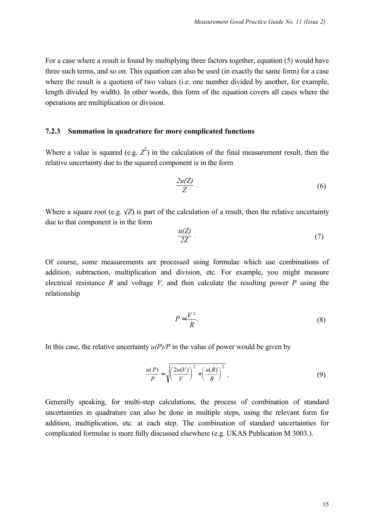For a case where a result is found by multiplying three factors together, equation (5) would have three such terms, and so on. This equation can also be used (in exactly the same form) for a case where the result is a quotient of two values (i.e. one number divided by another, for example, length divided by width). In other words, this form of the equation covers all cases where the operations are multiplication or division.

#### **7.2.3 Summation in quadrature for more complicated functions**

Where a value is squared (e.g.  $Z^2$ ) in the calculation of the final measurement result, then the relative uncertainty due to the squared component is in the form

$$
\frac{2u(Z)}{Z} \t{6}
$$

Where a square root (e.g.  $\sqrt{Z}$ ) is part of the calculation of a result, then the relative uncertainty due to that component is in the form

$$
\frac{u(Z)}{2Z} \tag{7}
$$

Of course, some measurements are processed using formulae which use combinations of addition, subtraction, multiplication and division, etc. For example, you might measure electrical resistance *R* and voltage *V,* and then calculate the resulting power *P* using the relationship

$$
P = \frac{V^2}{R}.\tag{8}
$$

In this case, the relative uncertainty  $u(P)/P$  in the value of power would be given by

$$
\frac{u(P)}{P} = \sqrt{\left(\frac{2u(V)}{V}\right)^2 + \left(\frac{u(R)}{R}\right)^2} \tag{9}
$$

Generally speaking, for multi-step calculations, the process of combination of standard uncertainties in quadrature can also be done in multiple steps, using the relevant form for addition, multiplication, etc. at each step. The combination of standard uncertainties for complicated formulae is more fully discussed elsewhere (e.g. UKAS Publication M 3003.).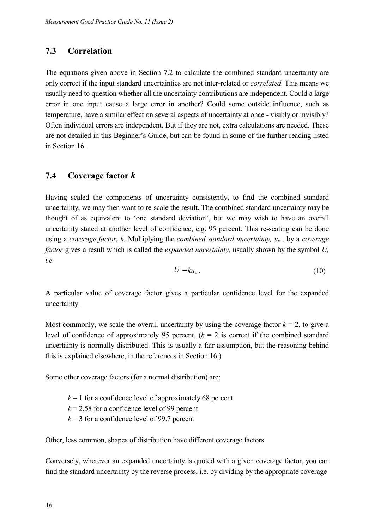### **7.3 Correlation**

The equations given above in Section 7.2 to calculate the combined standard uncertainty are only correct if the input standard uncertainties are not inter-related or *correlated*. This means we usually need to question whether all the uncertainty contributions are independent. Could a large error in one input cause a large error in another? Could some outside influence, such as temperature, have a similar effect on several aspects of uncertainty at once - visibly or invisibly? Often individual errors are independent. But if they are not, extra calculations are needed. These are not detailed in this Beginner's Guide, but can be found in some of the further reading listed in Section 16.

### **7.4 Coverage factor** *k*

Having scaled the components of uncertainty consistently, to find the combined standard uncertainty, we may then want to re-scale the result. The combined standard uncertainty may be thought of as equivalent to 'one standard deviation', but we may wish to have an overall uncertainty stated at another level of confidence, e.g. 95 percent. This re-scaling can be done using a *coverage factor, k.* Multiplying the *combined standard uncertainty, uc* , by a *coverage factor* gives a result which is called the *expanded uncertainty,* usually shown by the symbol *U, i.e.* 

$$
U = k u_c. \tag{10}
$$

A particular value of coverage factor gives a particular confidence level for the expanded uncertainty.

Most commonly, we scale the overall uncertainty by using the coverage factor  $k = 2$ , to give a level of confidence of approximately 95 percent.  $(k = 2$  is correct if the combined standard uncertainty is normally distributed. This is usually a fair assumption, but the reasoning behind this is explained elsewhere, in the references in Section 16.)

Some other coverage factors (for a normal distribution) are:

- $k = 1$  for a confidence level of approximately 68 percent
- $k = 2.58$  for a confidence level of 99 percent
- $k = 3$  for a confidence level of 99.7 percent

Other, less common, shapes of distribution have different coverage factors.

Conversely, wherever an expanded uncertainty is quoted with a given coverage factor, you can find the standard uncertainty by the reverse process, i.e. by dividing by the appropriate coverage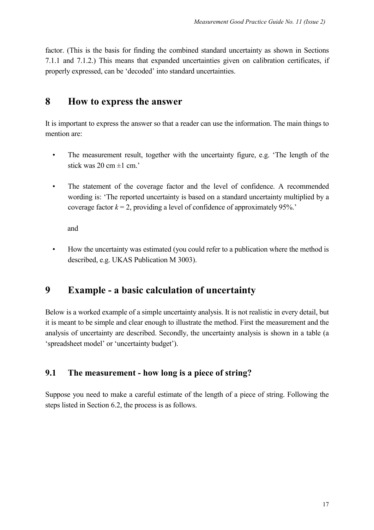factor. (This is the basis for finding the combined standard uncertainty as shown in Sections 7.1.1 and 7.1.2.) This means that expanded uncertainties given on calibration certificates, if properly expressed, can be 'decoded' into standard uncertainties.

### **8 How to express the answer**

It is important to express the answer so that a reader can use the information. The main things to mention are:

- The measurement result, together with the uncertainty figure, e.g. 'The length of the stick was 20 cm  $\pm$ 1 cm.'
- The statement of the coverage factor and the level of confidence. A recommended wording is: 'The reported uncertainty is based on a standard uncertainty multiplied by a coverage factor  $k = 2$ , providing a level of confidence of approximately 95%.'

and

• How the uncertainty was estimated (you could refer to a publication where the method is described, e.g. UKAS Publication M 3003).

### **9 Example - a basic calculation of uncertainty**

Below is a worked example of a simple uncertainty analysis. It is not realistic in every detail, but it is meant to be simple and clear enough to illustrate the method. First the measurement and the analysis of uncertainty are described. Secondly, the uncertainty analysis is shown in a table (a 'spreadsheet model' or 'uncertainty budget').

### **9.1 The measurement - how long is a piece of string?**

Suppose you need to make a careful estimate of the length of a piece of string. Following the steps listed in Section 6.2, the process is as follows.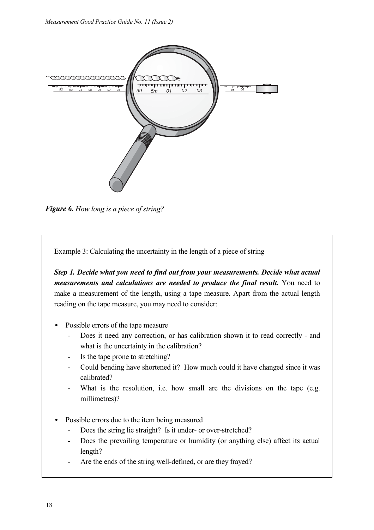

*Figure 6. How long is a piece of string?* 

Example 3: Calculating the uncertainty in the length of a piece of string

*Step 1. Decide what you need to find out from your measurements. Decide what actual measurements and calculations are needed to produce the final result.* You need to make a measurement of the length, using a tape measure. Apart from the actual length reading on the tape measure, you may need to consider:

- Possible errors of the tape measure
	- Does it need any correction, or has calibration shown it to read correctly and what is the uncertainty in the calibration?
	- Is the tape prone to stretching?
	- Could bending have shortened it? How much could it have changed since it was calibrated?
	- What is the resolution, i.e. how small are the divisions on the tape (e.g. millimetres)?
- Possible errors due to the item being measured
	- Does the string lie straight? Is it under- or over-stretched?
	- Does the prevailing temperature or humidity (or anything else) affect its actual length?
	- Are the ends of the string well-defined, or are they frayed?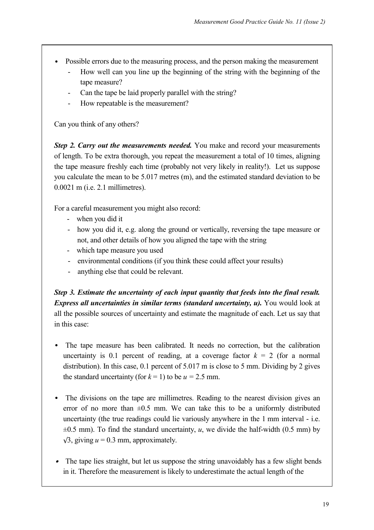- Possible errors due to the measuring process, and the person making the measurement
	- How well can you line up the beginning of the string with the beginning of the tape measure?
	- Can the tape be laid properly parallel with the string?
	- How repeatable is the measurement?

Can you think of any others?

*Step 2. Carry out the measurements needed.* You make and record your measurements of length. To be extra thorough, you repeat the measurement a total of 10 times, aligning the tape measure freshly each time (probably not very likely in reality!). Let us suppose you calculate the mean to be 5.017 metres (m), and the estimated standard deviation to be 0.0021 m (i.e. 2.1 millimetres).

For a careful measurement you might also record:

- when you did it
- how you did it, e.g. along the ground or vertically, reversing the tape measure or not, and other details of how you aligned the tape with the string
- which tape measure you used
- environmental conditions (if you think these could affect your results)
- anything else that could be relevant.

*Step 3. Estimate the uncertainty of each input quantity that feeds into the final result. Express all uncertainties in similar terms (standard uncertainty, u).* You would look at all the possible sources of uncertainty and estimate the magnitude of each. Let us say that in this case:

- The tape measure has been calibrated. It needs no correction, but the calibration uncertainty is 0.1 percent of reading, at a coverage factor  $k = 2$  (for a normal distribution). In this case, 0.1 percent of 5.017 m is close to 5 mm. Dividing by 2 gives the standard uncertainty (for  $k = 1$ ) to be  $u = 2.5$  mm.
- The divisions on the tape are millimetres. Reading to the nearest division gives an error of no more than  $\pm 0.5$  mm. We can take this to be a uniformly distributed uncertainty (the true readings could lie variously anywhere in the 1 mm interval - i.e.  $\pm 0.5$  mm). To find the standard uncertainty, *u*, we divide the half-width (0.5 mm) by  $\sqrt{3}$ , giving  $u = 0.3$  mm, approximately.
- The tape lies straight, but let us suppose the string unavoidably has a few slight bends in it. Therefore the measurement is likely to underestimate the actual length of the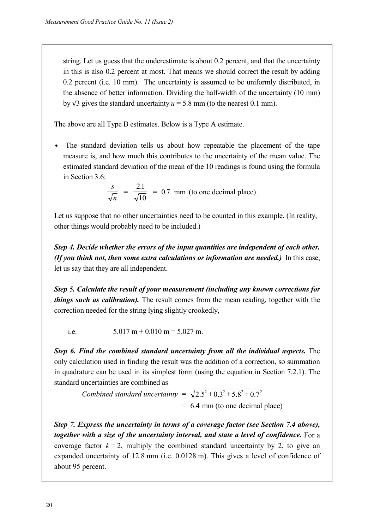string. Let us guess that the underestimate is about 0.2 percent, and that the uncertainty in this is also 0.2 percent at most. That means we should correct the result by adding 0.2 percent (i.e. 10 mm). The uncertainty is assumed to be uniformly distributed, in the absence of better information. Dividing the half-width of the uncertainty (10 mm) by  $\sqrt{3}$  gives the standard uncertainty  $u = 5.8$  mm (to the nearest 0.1 mm).

The above are all Type B estimates. Below is a Type A estimate.

• The standard deviation tells us about how repeatable the placement of the tape measure is, and how much this contributes to the uncertainty of the mean value. The estimated standard deviation of the mean of the 10 readings is found using the formula in Section 3.6:

$$
\frac{s}{\sqrt{n}} = \frac{2.1}{\sqrt{10}} = 0.7 \text{ mm (to one decimal place)}.
$$

Let us suppose that no other uncertainties need to be counted in this example. (In reality, other things would probably need to be included.)

*Step 4. Decide whether the errors of the input quantities are independent of each other. (If you think not, then some extra calculations or information are needed.)* In this case, let us say that they are all independent.

*Step 5. Calculate the result of your measurement (including any known corrections for things such as calibration).* The result comes from the mean reading, together with the correction needed for the string lying slightly crookedly,

i.e. 
$$
5.017 \text{ m} + 0.010 \text{ m} = 5.027 \text{ m}.
$$

*Step 6. Find the combined standard uncertainty from all the individual aspects.* The only calculation used in finding the result was the addition of a correction, so summation in quadrature can be used in its simplest form (using the equation in Section 7.2.1). The standard uncertainties are combined as

> *Combined standard uncertainty* =  $\sqrt{2.5^2 + 0.3^2 + 5.8^2 + 0.7^2}$  *=*   $= 6.4$  mm (to one decimal place)

*Step 7. Express the uncertainty in terms of a coverage factor (see Section 7.4 above), together with a size of the uncertainty interval, and state a level of confidence.* For a coverage factor  $k = 2$ , multiply the combined standard uncertainty by 2, to give an expanded uncertainty of 12.8 mm (i.e. 0.0128 m). This gives a level of confidence of about 95 percent.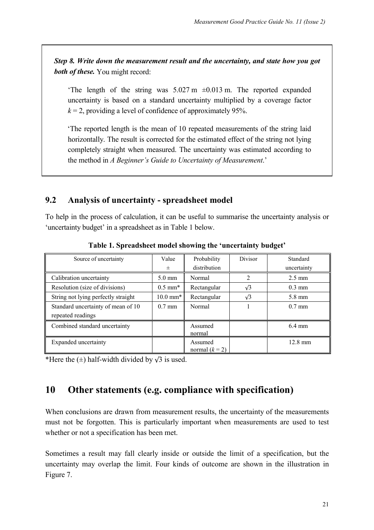*Step 8. Write down the measurement result and the uncertainty, and state how you got both of these.* You might record:

'The length of the string was  $5.027 \text{ m } \pm 0.013 \text{ m}$ . The reported expanded uncertainty is based on a standard uncertainty multiplied by a coverage factor  $k = 2$ , providing a level of confidence of approximately 95%.

'The reported length is the mean of 10 repeated measurements of the string laid horizontally. The result is corrected for the estimated effect of the string not lying completely straight when measured. The uncertainty was estimated according to the method in *A Beginner's Guide to Uncertainty of Measurement*.'

### **9.2 Analysis of uncertainty - spreadsheet model**

To help in the process of calculation, it can be useful to summarise the uncertainty analysis or 'uncertainty budget' in a spreadsheet as in Table 1 below.

| Source of uncertainty                                   | Value<br>士          | Probability<br>distribution | <b>Divisor</b> | Standard<br>uncertainty |
|---------------------------------------------------------|---------------------|-----------------------------|----------------|-------------------------|
| Calibration uncertainty                                 | $5.0 \text{ mm}$    | Normal                      | 2              | $2.5 \text{ mm}$        |
| Resolution (size of divisions)                          | $0.5 \text{ mm}^*$  | Rectangular                 | $\sqrt{3}$     | $0.3$ mm                |
| String not lying perfectly straight                     | $10.0 \text{ mm}^*$ | Rectangular                 | $\sqrt{3}$     | $5.8 \text{ mm}$        |
| Standard uncertainty of mean of 10<br>repeated readings | $0.7$ mm            | Normal                      |                | $0.7$ mm                |
| Combined standard uncertainty                           |                     | Assumed<br>normal           |                | $6.4 \text{ mm}$        |
| <b>Expanded</b> uncertainty                             |                     | Assumed<br>normal $(k = 2)$ |                | $12.8 \text{ mm}$       |

**Table 1. Spreadsheet model showing the 'uncertainty budget'**

\*Here the  $(\pm)$  half-width divided by  $\sqrt{3}$  is used.

### **10 Other statements (e.g. compliance with specification)**

When conclusions are drawn from measurement results, the uncertainty of the measurements must not be forgotten. This is particularly important when measurements are used to test whether or not a specification has been met.

Sometimes a result may fall clearly inside or outside the limit of a specification, but the uncertainty may overlap the limit. Four kinds of outcome are shown in the illustration in Figure 7.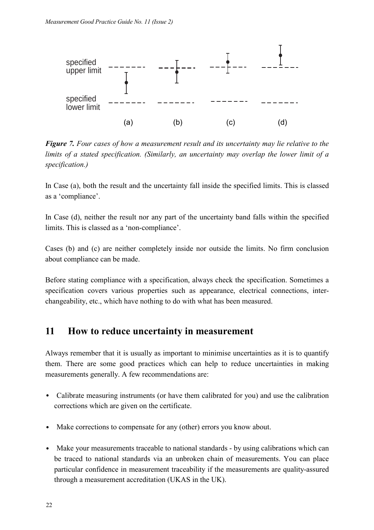

*Figure 7. Four cases of how a measurement result and its uncertainty may lie relative to the limits of a stated specification. (Similarly, an uncertainty may overlap the lower limit of a specification.)* 

In Case (a), both the result and the uncertainty fall inside the specified limits. This is classed as a 'compliance'.

In Case (d), neither the result nor any part of the uncertainty band falls within the specified limits. This is classed as a 'non-compliance'.

Cases (b) and (c) are neither completely inside nor outside the limits. No firm conclusion about compliance can be made.

Before stating compliance with a specification, always check the specification. Sometimes a specification covers various properties such as appearance, electrical connections, interchangeability, etc., which have nothing to do with what has been measured.

### **11 How to reduce uncertainty in measurement**

Always remember that it is usually as important to minimise uncertainties as it is to quantify them. There are some good practices which can help to reduce uncertainties in making measurements generally. A few recommendations are:

- Calibrate measuring instruments (or have them calibrated for you) and use the calibration corrections which are given on the certificate.
- Make corrections to compensate for any (other) errors you know about.
- Make your measurements traceable to national standards by using calibrations which can be traced to national standards via an unbroken chain of measurements. You can place particular confidence in measurement traceability if the measurements are quality-assured through a measurement accreditation (UKAS in the UK).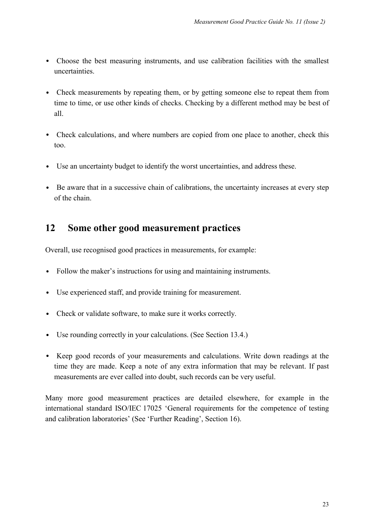- Choose the best measuring instruments, and use calibration facilities with the smallest uncertainties.
- Check measurements by repeating them, or by getting someone else to repeat them from time to time, or use other kinds of checks. Checking by a different method may be best of all.
- Check calculations, and where numbers are copied from one place to another, check this too.
- Use an uncertainty budget to identify the worst uncertainties, and address these.
- Be aware that in a successive chain of calibrations, the uncertainty increases at every step of the chain.

### **12 Some other good measurement practices**

Overall, use recognised good practices in measurements, for example:

- Follow the maker's instructions for using and maintaining instruments.
- Use experienced staff, and provide training for measurement.
- Check or validate software, to make sure it works correctly.
- Use rounding correctly in your calculations. (See Section 13.4.)
- Keep good records of your measurements and calculations. Write down readings at the time they are made. Keep a note of any extra information that may be relevant. If past measurements are ever called into doubt, such records can be very useful.

Many more good measurement practices are detailed elsewhere, for example in the international standard ISO/IEC 17025 'General requirements for the competence of testing and calibration laboratories' (See 'Further Reading', Section 16).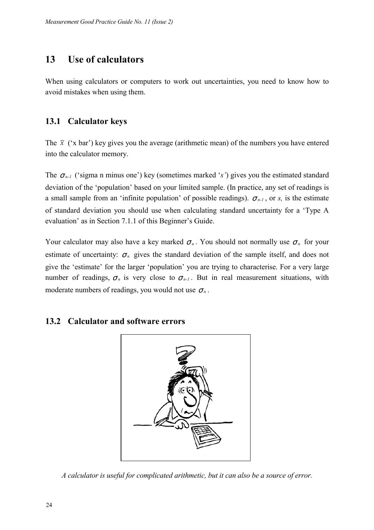### **13 Use of calculators**

When using calculators or computers to work out uncertainties, you need to know how to avoid mistakes when using them.

### **13.1 Calculator keys**

The  $\bar{x}$  ('x bar') key gives you the average (arithmetic mean) of the numbers you have entered into the calculator memory.

The  $\sigma_{n-1}$  ('sigma n minus one') key (sometimes marked 's') gives you the estimated standard deviation of the 'population' based on your limited sample. (In practice, any set of readings is a small sample from an 'infinite population' of possible readings).  $\sigma_{n-1}$ , or *s*, is the estimate of standard deviation you should use when calculating standard uncertainty for a 'Type A evaluation' as in Section 7.1.1 of this Beginner's Guide.

Your calculator may also have a key marked  $\sigma_n$ . You should not normally use  $\sigma_n$  for your estimate of uncertainty:  $\sigma_n$  gives the standard deviation of the sample itself, and does not give the 'estimate' for the larger 'population' you are trying to characterise. For a very large number of readings,  $\sigma_n$  is very close to  $\sigma_{n-l}$ . But in real measurement situations, with moderate numbers of readings, you would not use  $\sigma_n$ .



### **13.2 Calculator and software errors**

*A calculator is useful for complicated arithmetic, but it can also be a source of error.*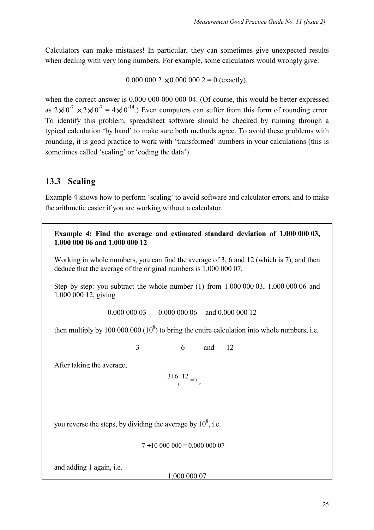Calculators can make mistakes! In particular, they can sometimes give unexpected results when dealing with very long numbers. For example, some calculators would wrongly give:

0.000 000  $2 \times 0.000$  000  $2 = 0$  (exactly),

when the correct answer is 0.000 000 000 000 04. (Of course, this would be better expressed as  $2\times10^{-7} \times 2\times10^{-7} = 4\times10^{-14}$ .) Even computers can suffer from this form of rounding error. To identify this problem, spreadsheet software should be checked by running through a typical calculation 'by hand' to make sure both methods agree. To avoid these problems with rounding, it is good practice to work with 'transformed' numbers in your calculations (this is sometimes called 'scaling' or 'coding the data').

### **13.3 Scaling**

Example 4 shows how to perform 'scaling' to avoid software and calculator errors, and to make the arithmetic easier if you are working without a calculator.

#### **Example 4: Find the average and estimated standard deviation of 1.000 000 03, 1.000 000 06 and 1.000 000 12**

Working in whole numbers, you can find the average of 3, 6 and 12 (which is 7), and then deduce that the average of the original numbers is 1.000 000 07.

Step by step: you subtract the whole number (1) from 1.000 000 03, 1.000 000 06 and 1.000 000 12, giving

0.000 000 03 0.000 000 06 and 0.000 000 12

then multiply by 100 000 000  $(10^8)$  to bring the entire calculation into whole numbers, i.e.

3 6 and 12

After taking the average,

$$
\frac{3+6+12}{3}=7,
$$

you reverse the steps, by dividing the average by  $10^8$ , i.e.

$$
7 \div 10\ 000\ 000 = 0.000\ 000\ 07
$$

and adding 1 again, i.e.

1.000 000 07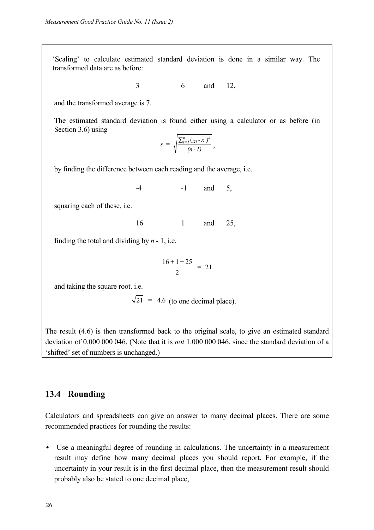'Scaling' to calculate estimated standard deviation is done in a similar way. The transformed data are as before:

3 6 and 12,

and the transformed average is 7.

The estimated standard deviation is found either using a calculator or as before (in Section 3.6) using

$$
s = \sqrt{\frac{\sum_{i=1}^{n} (x_i - \overline{x})^2}{(n-1)}},
$$

by finding the difference between each reading and the average, i.e.

 $-4$   $-1$  and 5,

squaring each of these, i.e.

16 1 and 25,

finding the total and dividing by *n* - 1, i.e.

$$
\frac{16+1+25}{2} = 21
$$

and taking the square root. i.e.

 $\sqrt{21}$  = 4.6 (to one decimal place).

The result (4.6) is then transformed back to the original scale, to give an estimated standard deviation of 0.000 000 046. (Note that it is *not* 1.000 000 046, since the standard deviation of a 'shifted' set of numbers is unchanged.)

### **13.4 Rounding**

Calculators and spreadsheets can give an answer to many decimal places. There are some recommended practices for rounding the results:

• Use a meaningful degree of rounding in calculations. The uncertainty in a measurement result may define how many decimal places you should report. For example, if the uncertainty in your result is in the first decimal place, then the measurement result should probably also be stated to one decimal place,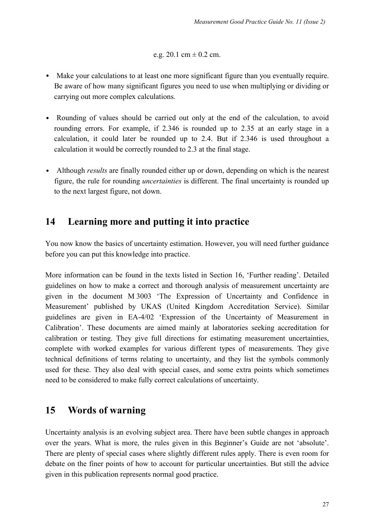e.g. 20.1 cm 
$$
\pm
$$
 0.2 cm.

- Make your calculations to at least one more significant figure than you eventually require. Be aware of how many significant figures you need to use when multiplying or dividing or carrying out more complex calculations.
- Rounding of values should be carried out only at the end of the calculation, to avoid rounding errors. For example, if 2.346 is rounded up to 2.35 at an early stage in a calculation, it could later be rounded up to 2.4. But if 2.346 is used throughout a calculation it would be correctly rounded to 2.3 at the final stage.
- Although *results* are finally rounded either up or down, depending on which is the nearest figure, the rule for rounding *uncertainties* is different. The final uncertainty is rounded up to the next largest figure, not down.

### **14 Learning more and putting it into practice**

You now know the basics of uncertainty estimation. However, you will need further guidance before you can put this knowledge into practice.

More information can be found in the texts listed in Section 16, 'Further reading'. Detailed guidelines on how to make a correct and thorough analysis of measurement uncertainty are given in the document M 3003 'The Expression of Uncertainty and Confidence in Measurement' published by UKAS (United Kingdom Accreditation Service). Similar guidelines are given in EA-4/02 'Expression of the Uncertainty of Measurement in Calibration'. These documents are aimed mainly at laboratories seeking accreditation for calibration or testing. They give full directions for estimating measurement uncertainties, complete with worked examples for various different types of measurements. They give technical definitions of terms relating to uncertainty, and they list the symbols commonly used for these. They also deal with special cases, and some extra points which sometimes need to be considered to make fully correct calculations of uncertainty.

### **15 Words of warning**

Uncertainty analysis is an evolving subject area. There have been subtle changes in approach over the years. What is more, the rules given in this Beginner's Guide are not 'absolute'. There are plenty of special cases where slightly different rules apply. There is even room for debate on the finer points of how to account for particular uncertainties. But still the advice given in this publication represents normal good practice.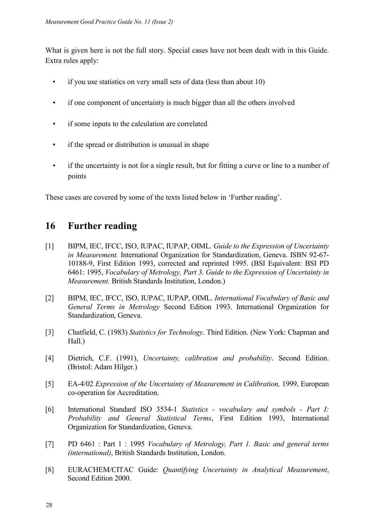What is given here is not the full story. Special cases have not been dealt with in this Guide. Extra rules apply:

- if you use statistics on very small sets of data (less than about 10)
- if one component of uncertainty is much bigger than all the others involved
- if some inputs to the calculation are correlated
- if the spread or distribution is unusual in shape
- if the uncertainty is not for a single result, but for fitting a curve or line to a number of points

These cases are covered by some of the texts listed below in 'Further reading'.

### **16 Further reading**

- [1] BIPM, IEC, IFCC, ISO, IUPAC, IUPAP, OIML. *Guide to the Expression of Uncertainty in Measurement.* International Organization for Standardization, Geneva. ISBN 92-67- 10188-9, First Edition 1993, corrected and reprinted 1995. (BSI Equivalent: BSI PD 6461: 1995, *Vocabulary of Metrology, Part 3. Guide to the Expression of Uncertainty in Measurement.* British Standards Institution, London.)
- [2] BIPM, IEC, IFCC, ISO, IUPAC, IUPAP, OIML. *International Vocabulary of Basic and General Terms in Metrology* Second Edition 1993. International Organization for Standardization, Geneva.
- [3] Chatfield, C. (1983) *Statistics for Technology*. Third Edition. (New York: Chapman and Hall.)
- [4] Dietrich, C.F. (1991), *Uncertainty, calibration and probability*. Second Edition. (Bristol: Adam Hilger.)
- [5] EA-4/02 *Expression of the Uncertainty of Measurement in Calibration,* 1999, European co-operation for Accreditation.
- [6] International Standard ISO 3534-1 *Statistics vocabulary and symbols Part I: Probability and General Statistical Terms*, First Edition 1993, International Organization for Standardization, Geneva.
- [7] PD 6461 : Part 1 : 1995 *Vocabulary of Metrology, Part 1. Basic and general terms (international)*, British Standards Institution, London.
- [8] EURACHEM/CITAC Guide: *Quantifying Uncertainty in Analytical Measurement*, Second Edition 2000.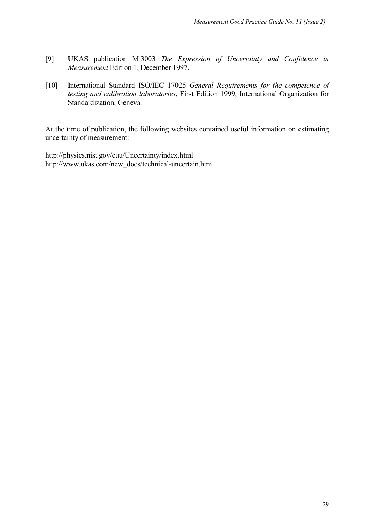- [9] UKAS publication M 3003 *The Expression of Uncertainty and Confidence in Measurement* Edition 1, December 1997.
- [10] International Standard ISO/IEC 17025 *General Requirements for the competence of testing and calibration laboratories*, First Edition 1999, International Organization for Standardization, Geneva.

At the time of publication, the following websites contained useful information on estimating uncertainty of measurement:

http://physics.nist.gov/cuu/Uncertainty/index.html http://www.ukas.com/new\_docs/technical-uncertain.htm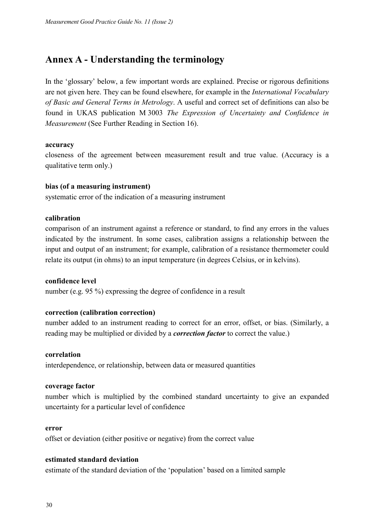### **Annex A - Understanding the terminology**

In the 'glossary' below, a few important words are explained. Precise or rigorous definitions are not given here. They can be found elsewhere, for example in the *International Vocabulary of Basic and General Terms in Metrology*. A useful and correct set of definitions can also be found in UKAS publication M 3003 *The Expression of Uncertainty and Confidence in Measurement* (See Further Reading in Section 16).

#### **accuracy**

closeness of the agreement between measurement result and true value. (Accuracy is a qualitative term only.)

#### **bias (of a measuring instrument)**

systematic error of the indication of a measuring instrument

#### **calibration**

comparison of an instrument against a reference or standard, to find any errors in the values indicated by the instrument. In some cases, calibration assigns a relationship between the input and output of an instrument; for example, calibration of a resistance thermometer could relate its output (in ohms) to an input temperature (in degrees Celsius, or in kelvins).

#### **confidence level**

number (e.g. 95 %) expressing the degree of confidence in a result

#### **correction (calibration correction)**

number added to an instrument reading to correct for an error, offset, or bias. (Similarly, a reading may be multiplied or divided by a *correction factor* to correct the value.)

#### **correlation**

interdependence, or relationship, between data or measured quantities

#### **coverage factor**

number which is multiplied by the combined standard uncertainty to give an expanded uncertainty for a particular level of confidence

#### **error**

offset or deviation (either positive or negative) from the correct value

#### **estimated standard deviation**

estimate of the standard deviation of the 'population' based on a limited sample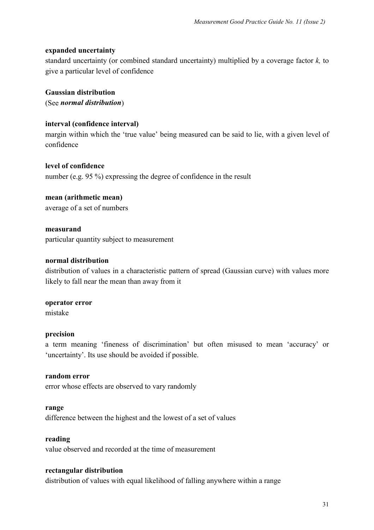#### **expanded uncertainty**

standard uncertainty (or combined standard uncertainty) multiplied by a coverage factor *k,* to give a particular level of confidence

**Gaussian distribution**  (See *normal distribution*)

#### **interval (confidence interval)**

margin within which the 'true value' being measured can be said to lie, with a given level of confidence

#### **level of confidence**

number (e.g. 95 %) expressing the degree of confidence in the result

#### **mean (arithmetic mean)**

average of a set of numbers

**measurand** particular quantity subject to measurement

#### **normal distribution**

distribution of values in a characteristic pattern of spread (Gaussian curve) with values more likely to fall near the mean than away from it

#### **operator error**

mistake

#### **precision**

a term meaning 'fineness of discrimination' but often misused to mean 'accuracy' or 'uncertainty'. Its use should be avoided if possible.

#### **random error**

error whose effects are observed to vary randomly

#### **range**

difference between the highest and the lowest of a set of values

#### **reading**

value observed and recorded at the time of measurement

#### **rectangular distribution**

distribution of values with equal likelihood of falling anywhere within a range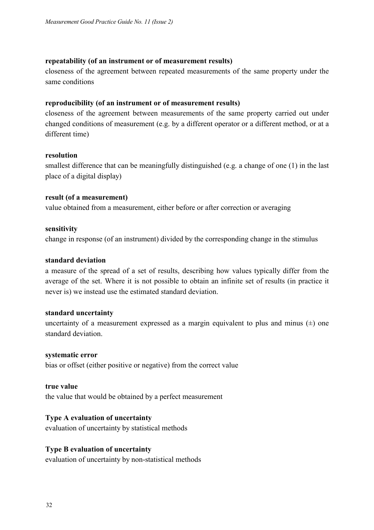#### **repeatability (of an instrument or of measurement results)**

closeness of the agreement between repeated measurements of the same property under the same conditions

#### **reproducibility (of an instrument or of measurement results)**

closeness of the agreement between measurements of the same property carried out under changed conditions of measurement (e.g. by a different operator or a different method, or at a different time)

#### **resolution**

smallest difference that can be meaningfully distinguished (e.g. a change of one (1) in the last place of a digital display)

#### **result (of a measurement)**

value obtained from a measurement, either before or after correction or averaging

#### **sensitivity**

change in response (of an instrument) divided by the corresponding change in the stimulus

#### **standard deviation**

a measure of the spread of a set of results, describing how values typically differ from the average of the set. Where it is not possible to obtain an infinite set of results (in practice it never is) we instead use the estimated standard deviation.

#### **standard uncertainty**

uncertainty of a measurement expressed as a margin equivalent to plus and minus  $(\pm)$  one standard deviation.

#### **systematic error**

bias or offset (either positive or negative) from the correct value

#### **true value**

the value that would be obtained by a perfect measurement

#### **Type A evaluation of uncertainty**

evaluation of uncertainty by statistical methods

#### **Type B evaluation of uncertainty**

evaluation of uncertainty by non-statistical methods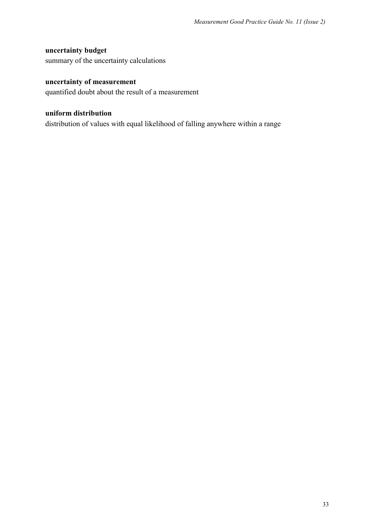### **uncertainty budget**

summary of the uncertainty calculations

### **uncertainty of measurement**

quantified doubt about the result of a measurement

#### **uniform distribution**

distribution of values with equal likelihood of falling anywhere within a range